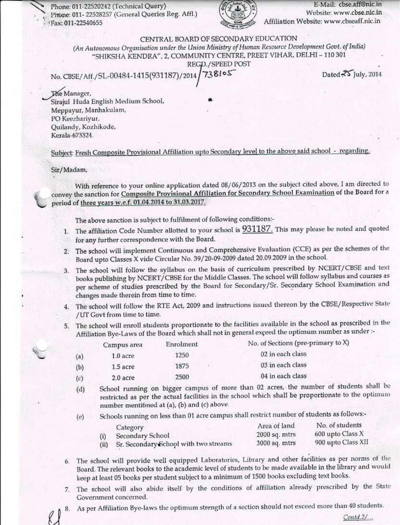Phone: 011-22520242 (Technical Query) Phone: 011-22528257 (General Queries Reg. Affl.) Fax: 011-22540655



E-Mail: cbse.aff@nic.in Website: www.cbse.nic.in Affiliation Website: www.cbseaff.nic.in

CENTRAL BOARD OF SECONDARY EDUCATION

(An Autonomous Organisation under the Union Ministry of Human Resource Development Govt. of India) "SHIKSHA KENDRA", 2, COMMUNITY CENTRE, PREET VIHAR, DELHI - 110 301

REGD./SPEED POST

738105 No. CBSE/Aff./SL-00484-1415(931187)/2014

Dated 25 July, 2014

The Manager, Sirajul Huda English Medium School, Meppayur, Manhakulam, PO Keezhariyur, Quilandy, Kozhikode, Kerala-673324.

Subject: Fresh Composite Provisional Affiliation upto Secondary level to the above said school - regarding.

#### Sir/Madam,

With reference to your online application dated 08/06/2013 on the subject cited above, I am directed to convey the sanction for Composite Provisional Affiliation for Secondary School Examination of the Board for a period of three years w.e.f. 01.04.2014 to 31.03.2017.

The above sanction is subject to fulfilment of following conditions:-

- 1. The affiliation Code Number allotted to your school is 931187. This may please be noted and quoted for any further correspondence with the Board.
- 2. The school will implement Continuous and Comprehensive Evaluation (CCE) as per the schemes of the Board upto Classes X vide Circular No. 39/20-09-2009 dated 20.09.2009 in the school.
- The school will follow the syllabus on the basis of curriculum prescribed by NCERT/CBSE and text 3. books publishing by NCERT/CBSE for the Middle Classes. The school will follow syllabus and courses as per scheme of studies prescribed by the Board for Secondary/Sr. Secondary School Examination and changes made therein from time to time.
- 4. The school will follow the RTE Act, 2009 and instructions issued thereon by the CBSE/Respective State /UT Govt from time to time.
- 5. The school will enroll students proportionate to the facilities available in the school as prescribed in the Affiliation Bye-Laws of the Board which shall not in general exceed the optimum number as under :-

|    | Campus area | Enrolment | No. of Sections (pre-primary to X) |
|----|-------------|-----------|------------------------------------|
| a) | $1.0$ acre  | 1250      | 02 in each class                   |
| ы  | 1.5 acre    | 1875      | 03 in each class                   |
| c) | 2.0 acre    | 2500      | 04 in each class                   |

- School running on bigger campus of more than 02 acres, the number of students shall be  $(d)$ restricted as per the actual facilities in the school which shall be proportionate to the optimum number mentioned at (a), (b) and (c) above.
- Schools running on less than 01 acre campus shall restrict number of students as follows:- $(e)$

|      | Category                              | Area of land    | No. of students    |
|------|---------------------------------------|-----------------|--------------------|
|      | Secondary School                      | $2000$ sq. mtrs | 600 upto Class X   |
| (ii) | Sr. Secondary School with two streams | $3000$ sq. mtrs | 900 upto Class XII |

- 6. The school will provide well equipped Laboratories, Library and other facilities as per norms of the Board. The relevant books to the academic level of students to be made available in the library and would keep at least 05 books per student subject to a minimum of 1500 books excluding text books.
- 7. The school will also abide itself by the conditions of affiliation already prescribed by the State Government concerned.
- As per Affiliation Bye-laws the optimum strength of a section should not exceed more than 40 students. 8.

Contd.2/...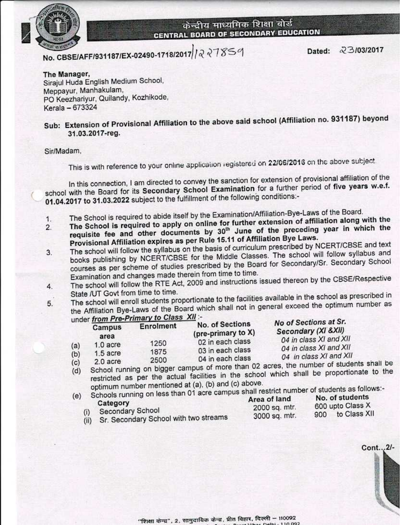

No. CBSE/AFF/931187/EX-02490-1718/2017 227859

23/03/2017 Dated:

The Manager, Sirajul Huda English Medium School, Meppayur, Manhakulam, PO Keezhariyur, Quilandy, Kozhikode, Kerala - 673324

# Sub: Extension of Provisional Affiliation to the above said school (Affiliation no. 931187) beyond 31.03.2017-reg.

Sir/Madam.

This is with reference to your online application registered on 22/06/2016 on the above subject.

In this connection, I am directed to convey the sanction for extension of provisional affiliation of the school with the Board for its Secondary School Examination for a further period of five years w.e.f. 01.04.2017 to 31.03.2022 subject to the fulfillment of the following conditions:-

- The School is required to abide itself by the Examination/Affiliation-Bye-Laws of the Board.
- The School is required to apply on online for further extension of affiliation along with the  $1.$ requisite fee and other documents by 30<sup>th</sup> June of the preceding year in which the  $\overline{2}$ 
	- Provisional Affiliation expires as per Rule 15.11 of Affiliation Bye Laws. The school will follow the syllabus on the basis of curriculum prescribed by NCERT/CBSE and text
- books publishing by NCERT/CBSE for the Middle Classes. The school will follow syllabus and 3. courses as per scheme of studies prescribed by the Board for Secondary/Sr. Secondary School Examination and changes made therein from time to time.
- The school will follow the RTE Act, 2009 and instructions issued thereon by the CBSE/Respective 4. State /UT Govt from time to time.
- The school will enroll students proportionate to the facilities available in the school as prescribed in the Affiliation Bye-Laws of the Board which shall not in general exceed the optimum number as 5. rimary to Class XII :-

|     |                | under from Pre-Primary to Glass And |                                              | No of Sections at Sr.                            |  |
|-----|----------------|-------------------------------------|----------------------------------------------|--------------------------------------------------|--|
|     | Campus<br>area | Enrolment                           | <b>No. of Sections</b><br>(pre-primary to X) | Secondary (XI & XII)                             |  |
| (a) | $1.0$ acre     | 1250                                | 02 in each class                             | 04 in class XI and XII                           |  |
| (b) | $1.5$ acre     | 1875                                | 03 in each class                             | 04 in class XI and XII<br>04 in class XI and XII |  |
| (c) | 2.0 acre       | 2500                                | 04 in each class                             | under at ourdante english-                       |  |

School running on bigger campus of more than 02 acres, the number of students shall be restricted as per the actual facilities in the school which shall be proportionate to the  $(d)$ optimum number mentioned at (a), (b) and (c) above.

unning on less than 01 acre campus shall restrict number of students as follows:-

| SCHOOLS Furning on loss than share seems<br>Category |                                                                       | Area of land                   | No. of students<br>600 upto Class X |                  |  |
|------------------------------------------------------|-----------------------------------------------------------------------|--------------------------------|-------------------------------------|------------------|--|
|                                                      | <b>Secondary School</b><br>(ii) Sr. Secondary School with two streams | 2000 sq. mtr.<br>3000 sq. mtr. |                                     | 900 to Class XII |  |

Cont...2/-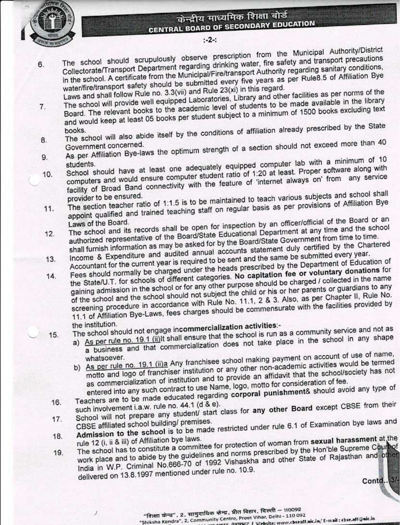

 $-2-1$ 

- The school should scrupulously observe prescription from the Municipal Authority/District Collectorate/Transport Department regarding drinking water, fire safety and transport precautions in the school. A certificate from the Municipal/Fire/transport Authority regarding sanitary conditions, 6. water/fire/transport safety should be submitted every five years as per Rule8.5 of Affiliation Bye
- Laws and shall follow Rule no. 3.3(vii) and Rule 23(xi) in this regard. The school will provide well equipped Laboratories, Library and other facilities as per norms of the Board. The relevant books to the academic level of students to be made available in the library and would keep at least 05 books per student subject to a minimum of 1500 books excluding text  $7<sup>1</sup>$
- The school will also abide itself by the conditions of affiliation already prescribed by the State 8.
- As per Affiliation Bye-laws the optimum strength of a section should not exceed more than 40  $9.$
- School should have at least one adequately equipped computer lab with a minimum of 10 computers and would ensure computer student ratio of 1:20 at least. Proper software along with 10. facility of Broad Band connectivity with the feature of 'internet always on' from any service

The section teacher ratio of 1:1.5 is to be maintained to teach various subjects and school shall appoint qualified and trained teaching staff on regular basis as per provisions of Affiliation Bye

- 11. The school and its records shall be open for inspection by an officer/official of the Board or an
- authorized representative of the Board/State Educational Department at any time and the school  $12.$ shall furnish information as may be asked for by the Board/State Government from time to time. Income & Expenditure and audited annual accounts statement duly certified by the Chartered
- Accountant for the current year is required to be sent and the same be submitted every year. Fees should normally be charged under the heads prescribed by the Department of Education of  $13.$
- the State/U.T. for schools of different categories. No capitation fee or voluntary donations for  $14.$ gaining admission in the school or for any other purpose should be charged / collected in the name of the school and the school should not subject the child or his or her parents or guardians to any screening procedure in accordance with Rule No. 11.1, 2 & 3. Also, as per Chapter II, Rule No. 11.1 of Affiliation Bye-Laws, fees charges should be commensurate with the facilities provided by

the institution. The school should not engage incommercialization activities:- $15.$ 

- a) As per rule no. 19.1 (ii) It shall ensure that the school is run as a community service and not as a business and that commercialization does not take place in the school in any shape
- b) As per rule no. 19.1 (ii)a Any franchisee school making payment on account of use of name, motto and logo of franchiser institution or any other non-academic activities would be termed as commercialization of institution and to provide an affidavit that the school/society has not entered into any such contract to use Name, logo, motto for consideration of fee.
- Teachers are to be made educated regarding corporal punishment& should avoid any type of
- School will not prepare any student/ start class for any other Board except CBSE from their 16.  $17.$
- Admission to the school is to be made restricted under rule 6.1 of Examination bye laws and 18.
- The school has to constitute a committee for protection of woman from sexual harassment at the work place and to abide by the guidelines and norms prescribed by the Hon'ble Supreme Count of 19. India in W.P. Criminal No.666-70 of 1992 Vishaskha and other State of Rajasthan and other delivered on 13.8.1997 mentioned under rule no. 10.9.

Contd. Bl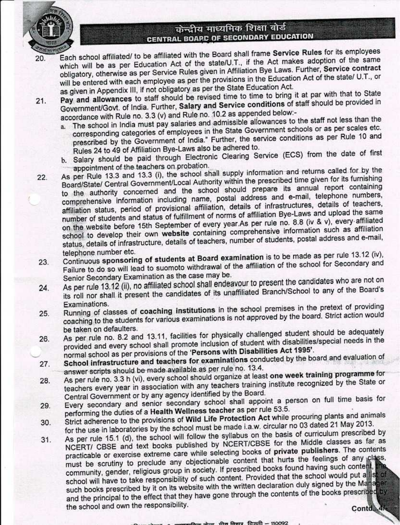

- Each school affiliated/ to be affiliated with the Board shall frame Service Rules for its employees which will be as per Education Act of the state/U.T., if the Act makes adoption of the same 20. obligatory, otherwise as per Service Rules given in Affiliation Bye Laws. Further, Service contract will be entered with each employee as per the provisions in the Education Act of the state/ U.T., or as given in Appendix III, if not obligatory as per the State Education Act.
- Pay and allowances to staff should be revised time to time to bring it at par with that to State  $21.$ Government/Govt. of India. Further, Salary and Service conditions of staff should be provided in accordance with Rule no. 3.3 (v) and Rule no. 10.2 as appended below:
	- a. The school in India must pay salaries and admissible allowances to the staff not less than the corresponding categories of employees in the State Government schools or as per scales etc. prescribed by the Government of India." Further, the service conditions as per Rule 10 and Rules 24 to 49 of Affiliation Bye-Laws also be adhered to.
	- b. Salary should be paid through Electronic Clearing Service (ECS) from the date of first appointment of the teachers on probation.
- As per Rule 13.3 and 13.3 (i), the school shall supply information and returns called for by the Board/State/ Central Government/Local Authority within the prescribed time given for its furnishing  $22.$ to the authority concerned and the school should prepare its annual report containing comprehensive information including name, postal address and e-mail, telephone numbers, affiliation status, period of provisional affiliation, details of infrastructures, details of teachers, number of students and status of fulfillment of norms of affiliation Bye-Laws and upload the same on the website before 15th September of every year.As per rule no. 8.8 (iv & v), every affiliated school to develop their own website containing comprehensive information such as affiliation status, details of infrastructure, details of teachers, number of students, postal address and e-mail, telephone number etc.
- Continuous sponsoring of students at Board examination is to be made as per rule 13.12 (iv), 23. Failure to do so will lead to suomoto withdrawal of the affiliation of the school for Secondary and Senior Secondary Examination as the case may be.
- As per rule 13.12 (ii), no affiliated school shall endeavour to present the candidates who are not on 24. its roll nor shall it present the candidates of its unaffiliated Branch/School to any of the Board's Examinations.
- Running of classes of coaching institutions in the school premises in the pretext of providing coaching to the students for various examinations is not approved by the board. Strict action would 25. be taken on defaulters.
- As per rule no. 8.2 and 13.11, facilities for physically challenged student should be adequately provided and every school shall promote inclusion of student with disabilities/special needs in the 26. normal school as per provisions of the 'Persons with Disabilities Act 1995'.
- School infrastructure and teachers for examinations conducted by the board and evaluation of 27. answer scripts should be made available as per rule no. 13.4.
- As per rule no. 3.3 h (vi), every school should organize at least one week training programme for 28. teachers every year in association with any teachers training institute recognized by the State or Central Government or by any agency identified by the Board.
- Every secondary and senior secondary school shall appoint a person on full time basis for 29. performing the duties of a Health Wellness teacher as per rule 53.5.
- Strict adherence to the provisions of Wild Life Protection Act while procuring plants and animals 30. for the use in laboratories by the school must be made i.a.w. circular no 03 dated 21 May 2013.
- As per rule 15.1 (d), the school will follow the syllabus on the basis of curriculum prescribed by NCERT/ CBSE and text books published by NCERT/CBSE for the Middle classes as far as  $31.$ practicable or exercise extreme care while selecting books of private publishers. The contents must be scrutiny to preclude any objectionable content that hurts the feelings of any class, community, gender, religious group in society. If prescribed books found having such content, the school will have to take responsibility of such content. Provided that the school would put a list of such books prescribed by it on its website with the written declaration duly signed by the Manager and the principal to the effect that they have gone through the contents of the books prescribed by the school and own the responsibility. Contd<sub>347</sub>

न जिलार दिल्ली – 110092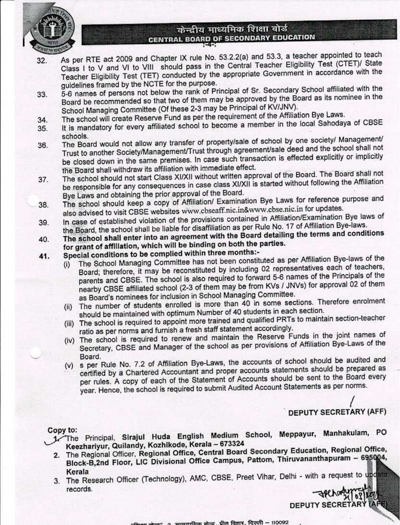

- As per RTE act 2009 and Chapter IX rule No. 53.2.2(a) and 53.3, a teacher appointed to teach 32. Class I to V and VI to VIII should pass in the Central Teacher Eligibility Test (CTET)/ State Teacher Eligibility Test (TET) conducted by the appropriate Government in accordance with the guidelines framed by the NCTE for the purpose.
- 5-6 names of persons not below the rank of Principal of Sr. Secondary School affiliated with the 33. Board be recommended so that two of them may be approved by the Board as its nominee in the School Managing Committee (Of these 2-3 may be Principal of KV/JNV).
- The school will create Reserve Fund as per the requirement of the Affiliation Bye Laws. 34.
- It is mandatory for every affiliated school to become a member in the local Sahodaya of CBSE 35. schools.
- The Board would not allow any transfer of property/sale of school by one society/ Management/ 36. Trust to another Society/Management/Trust through agreement/sale deed and the school shall not be closed down in the same premises. In case such transaction is effected explicitly or implicitly the Board shall withdraw its affiliation with immediate effect.
- The school should not start Class XI/XII without written approval of the Board. The Board shall not 37. be responsible for any consequences in case class XI/XII is started without following the Affiliation Bye Laws and obtaining the prior approval of the Board.
- The school should keep a copy of Affiliation/ Examination Bye Laws for reference purpose and 38. also advised to visit CBSE websites www.cbseaff.nic.in&www.cbse.nic.in for updates.
- In case of established violation of the provisions contained in Affiliation/Examination Bye laws of 39. the Board, the school shall be liable for disaffiliation as per Rule No. 17 of Affiliation Bye-laws.
- The school shall enter into an agreement with the Board detailing the terms and conditions 40. for grant of affiliation, which will be binding on both the parties.
- Special conditions to be complied within three months:-41.
	- The School Managing Committee has not been constituted as per Affiliation Bye-laws of the  $(i)$ Board; therefore, it may be reconstituted by including 02 representatives each of teachers, parents and CBSE. The school is also required to forward 5-6 names of the Principals of the nearby CBSE affiliated school (2-3 of them may be from KVs / JNVs) for approval 02 of them as Board's nominees for inclusion in School Managing Committee.
	- (ii) The number of students enrolled is more than 40 in some sections. Therefore enrolment should be maintained with optimum Number of 40 students in each section.
	- (iii) The school is required to appoint more trained and qualified PRTs to maintain section-teacher ratio as per norms and furnish a fresh staff statement accordingly.
	- (iv) The school is required to renew and maintain the Reserve Funds in the joint names of Secretary, CBSE and Manager of the school as per provisions of Affiliation Bye-Laws of the Board.
	- (v) s per Rule No. 7.2 of Affiliation Bye-Laws, the accounts of school should be audited and certified by a Chartered Accountant and proper accounts statements should be prepared as per rules. A copy of each of the Statement of Accounts should be sent to the Board every year. Hence, the school is required to submit Audited Account Statements as per norms.

### **DEPUTY SECRETARY (AFF)**

**DEPUTY SECRETARY (AFE)** 

#### Copy to:

- 1. The Principal, Sirajul Huda English Medium School, Meppayur, Manhakulam, PO Keezhariyur, Quilandy, Kozhikode, Kerala - 673324
- 2. The Regional Officer, Regional Office, Central Board Secondary Education, Regional Office, Block-B,2nd Floor, LIC Divisional Office Campus, Pattom, Thiruvananthapuram - 695004, Kerala
- 3. The Research Officer (Technology), AMC, CBSE, Preet Vihar, Delhi with a request to update records.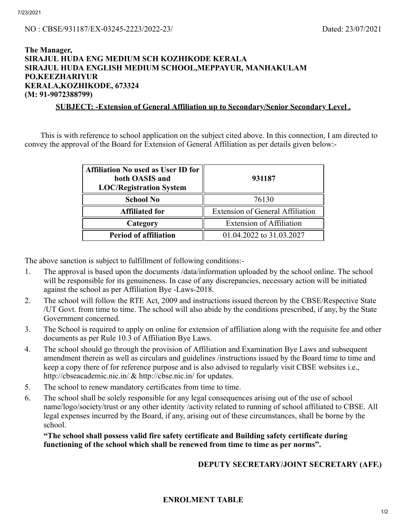#### NO : CBSE/931187/EX-03245-2223/2022-23/ Dated: 23/07/2021

### The Manager, SIRAJUL HUDA ENG MEDIUM SCH KOZHIKODE KERALA SIRAJUL HUDA ENGLISH MEDIUM SCHOOL,MEPPAYUR, MANHAKULAM PO,KEEZHARIYUR KERALA,KOZHIKODE, 673324 (M: 91-9072388799)

SUBJECT: -Extension of General Affiliation up to Secondary/Senior Secondary Level .

This is with reference to school application on the subject cited above. In this connection, I am directed to convey the approval of the Board for Extension of General Affiliation as per details given below:-

| <b>Affiliation No used as User ID for</b><br>both OASIS and<br><b>LOC/Registration System</b> | 931187                                                                     |  |
|-----------------------------------------------------------------------------------------------|----------------------------------------------------------------------------|--|
| <b>School No</b>                                                                              | 76130                                                                      |  |
| <b>Affiliated for</b>                                                                         | <b>Extension of General Affiliation</b><br><b>Extension of Affiliation</b> |  |
| Category                                                                                      |                                                                            |  |
| <b>Period of affiliation</b>                                                                  | 01.04.2022 to 31.03.2027                                                   |  |

The above sanction is subject to fulfillment of following conditions:-

- 1. The approval is based upon the documents /data/information uploaded by the school online. The school will be responsible for its genuineness. In case of any discrepancies, necessary action will be initiated against the school as per Affiliation Bye -Laws-2018.
- 2. The school will follow the RTE Act, 2009 and instructions issued thereon by the CBSE/Respective State /UT Govt. from time to time. The school will also abide by the conditions prescribed, if any, by the State Government concerned.
- 3. The School is required to apply on online for extension of affiliation along with the requisite fee and other documents as per Rule 10.3 of Affiliation Bye Laws.
- 4. The school should go through the provision of Affiliation and Examination Bye Laws and subsequent amendment therein as well as circulars and guidelines /instructions issued by the Board time to time and keep a copy there of for reference purpose and is also advised to regularly visit CBSE websites i.e., http://cbseacademic.nic.in/ & http://cbse.nic.in/ for updates.
- 5. The school to renew mandatory certificates from time to time.
- 6. The school shall be solely responsible for any legal consequences arising out of the use of school name/logo/society/trust or any other identity /activity related to running of school affiliated to CBSE. All legal expenses incurred by the Board, if any, arising out of these circumstances, shall be borne by the school.

"The school shall possess valid fire safety certificate and Building safety certificate during functioning of the school which shall be renewed from time to time as per norms".

DEPUTY SECRETARY/JOINT SECRETARY (AFF.)